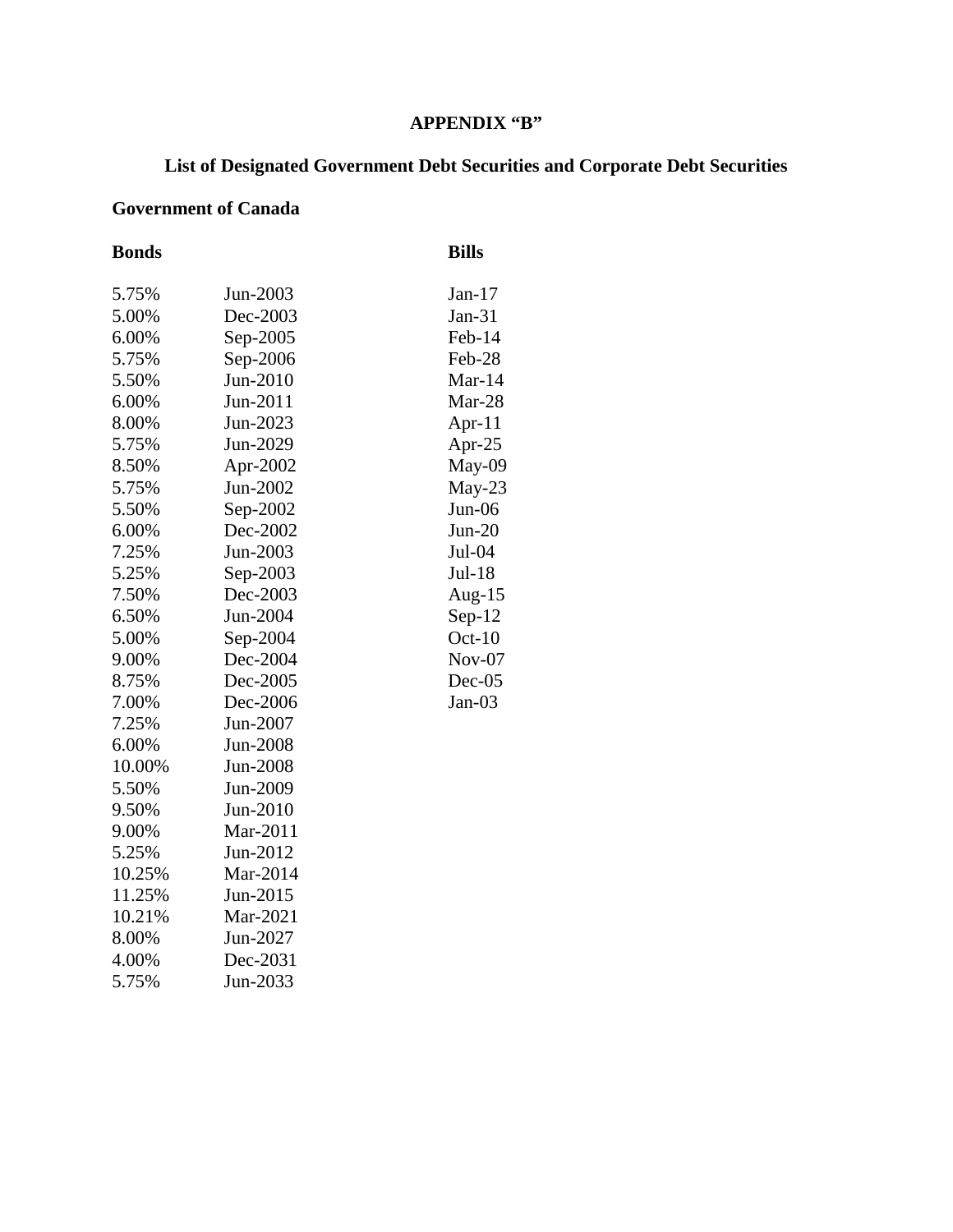## **APPENDIX "B"**

# **List of Designated Government Debt Securities and Corporate Debt Securities**

## **Government of Canada**

| <b>Bonds</b> |          | <b>Bills</b> |
|--------------|----------|--------------|
| 5.75%        | Jun-2003 | Jan- $17$    |
| 5.00%        | Dec-2003 | $Jan-31$     |
| 6.00%        | Sep-2005 | Feb-14       |
| 5.75%        | Sep-2006 | Feb-28       |
| 5.50%        | Jun-2010 | Mar- $14$    |
| 6.00%        | Jun-2011 | Mar-28       |
| 8.00%        | Jun-2023 | Apr- $11$    |
| 5.75%        | Jun-2029 | Apr-25       |
| 8.50%        | Apr-2002 | May-09       |
| 5.75%        | Jun-2002 | May-23       |
| 5.50%        | Sep-2002 | $Jun-06$     |
| 6.00%        | Dec-2002 | $Jun-20$     |
| 7.25%        | Jun-2003 | Jul-04       |
| 5.25%        | Sep-2003 | Jul-18       |
| 7.50%        | Dec-2003 | Aug-15       |
| 6.50%        | Jun-2004 | $Sep-12$     |
| 5.00%        | Sep-2004 | $Oct-10$     |
| 9.00%        | Dec-2004 | $Nov-07$     |
| 8.75%        | Dec-2005 | $Dec-05$     |
| 7.00%        | Dec-2006 | $Jan-03$     |
| 7.25%        | Jun-2007 |              |
| 6.00%        | Jun-2008 |              |
| 10.00%       | Jun-2008 |              |
| 5.50%        | Jun-2009 |              |
| 9.50%        | Jun-2010 |              |
| 9.00%        | Mar-2011 |              |
| 5.25%        | Jun-2012 |              |
| 10.25%       | Mar-2014 |              |
| 11.25%       | Jun-2015 |              |
| 10.21%       | Mar-2021 |              |
| 8.00%        | Jun-2027 |              |
| 4.00%        | Dec-2031 |              |
| 5.75%        | Jun-2033 |              |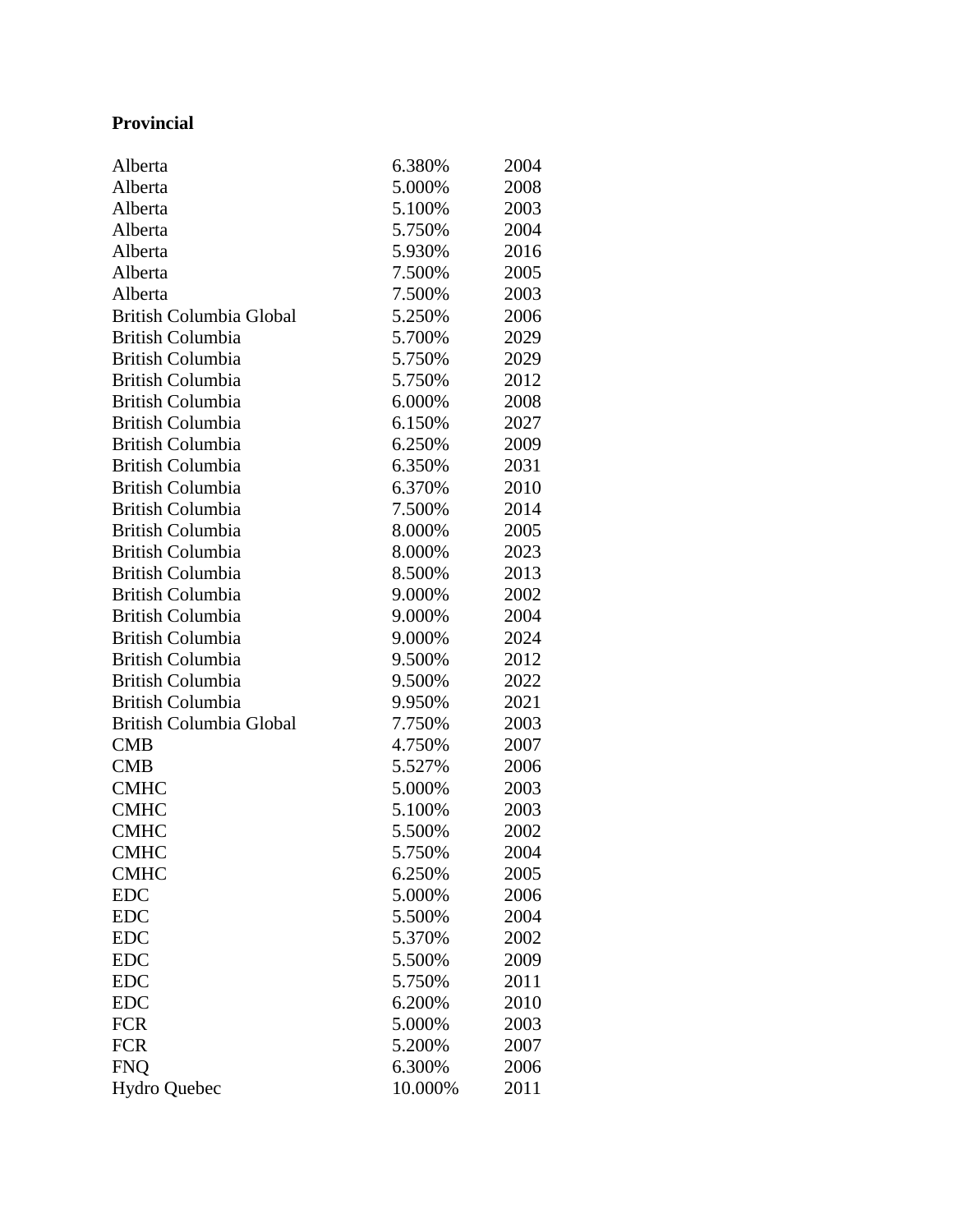## **Provincial**

| Alberta                 | 6.380%  | 2004 |
|-------------------------|---------|------|
| Alberta                 | 5.000%  | 2008 |
| Alberta                 | 5.100%  | 2003 |
| Alberta                 | 5.750%  | 2004 |
| Alberta                 | 5.930%  | 2016 |
| Alberta                 | 7.500%  | 2005 |
| Alberta                 | 7.500%  | 2003 |
| British Columbia Global | 5.250%  | 2006 |
| <b>British Columbia</b> | 5.700%  | 2029 |
| <b>British Columbia</b> | 5.750%  | 2029 |
| <b>British Columbia</b> | 5.750%  | 2012 |
| <b>British Columbia</b> | 6.000%  | 2008 |
| <b>British Columbia</b> | 6.150%  | 2027 |
| <b>British Columbia</b> | 6.250%  | 2009 |
| <b>British Columbia</b> | 6.350%  | 2031 |
| <b>British Columbia</b> | 6.370%  | 2010 |
| <b>British Columbia</b> | 7.500%  | 2014 |
| <b>British Columbia</b> | 8.000%  | 2005 |
| <b>British Columbia</b> | 8.000%  | 2023 |
| <b>British Columbia</b> | 8.500%  | 2013 |
| <b>British Columbia</b> | 9.000%  | 2002 |
| <b>British Columbia</b> | 9.000%  | 2004 |
| <b>British Columbia</b> | 9.000%  | 2024 |
| <b>British Columbia</b> | 9.500%  | 2012 |
| <b>British Columbia</b> | 9.500%  | 2022 |
| <b>British Columbia</b> | 9.950%  | 2021 |
| British Columbia Global | 7.750%  | 2003 |
| <b>CMB</b>              | 4.750%  | 2007 |
| <b>CMB</b>              | 5.527%  | 2006 |
| <b>CMHC</b>             | 5.000%  | 2003 |
| <b>CMHC</b>             | 5.100%  | 2003 |
| <b>CMHC</b>             | 5.500%  | 2002 |
| <b>CMHC</b>             | 5.750%  | 2004 |
| <b>CMHC</b>             | 6.250%  | 2005 |
| <b>EDC</b>              | 5.000%  | 2006 |
| <b>EDC</b>              | 5.500%  | 2004 |
| <b>EDC</b>              | 5.370%  | 2002 |
| <b>EDC</b>              | 5.500%  | 2009 |
| <b>EDC</b>              | 5.750%  | 2011 |
| <b>EDC</b>              | 6.200%  | 2010 |
| <b>FCR</b>              | 5.000%  | 2003 |
| <b>FCR</b>              | 5.200%  | 2007 |
| <b>FNQ</b>              | 6.300%  | 2006 |
| <b>Hydro Quebec</b>     | 10.000% | 2011 |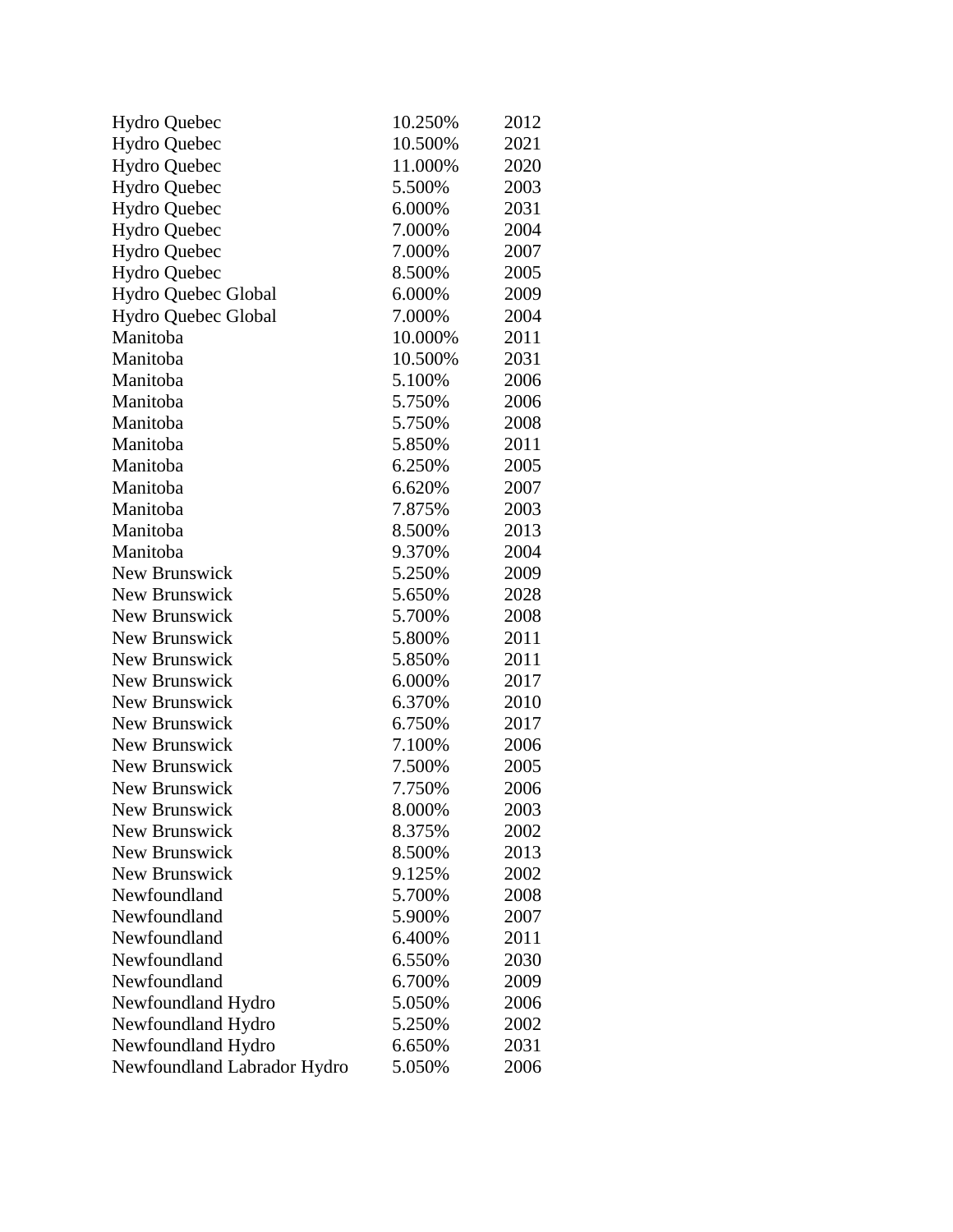| <b>Hydro Quebec</b>         | 10.250% | 2012 |
|-----------------------------|---------|------|
| <b>Hydro Quebec</b>         | 10.500% | 2021 |
| <b>Hydro Quebec</b>         | 11.000% | 2020 |
| Hydro Quebec                | 5.500%  | 2003 |
| <b>Hydro Quebec</b>         | 6.000%  | 2031 |
| Hydro Quebec                | 7.000%  | 2004 |
| <b>Hydro Quebec</b>         | 7.000%  | 2007 |
| <b>Hydro Quebec</b>         | 8.500%  | 2005 |
| Hydro Quebec Global         | 6.000%  | 2009 |
| Hydro Quebec Global         | 7.000%  | 2004 |
| Manitoba                    | 10.000% | 2011 |
| Manitoba                    | 10.500% | 2031 |
| Manitoba                    | 5.100%  | 2006 |
| Manitoba                    | 5.750%  | 2006 |
| Manitoba                    | 5.750%  | 2008 |
| Manitoba                    | 5.850%  | 2011 |
| Manitoba                    | 6.250%  | 2005 |
| Manitoba                    | 6.620%  | 2007 |
| Manitoba                    | 7.875%  | 2003 |
| Manitoba                    | 8.500%  | 2013 |
| Manitoba                    | 9.370%  | 2004 |
| New Brunswick               | 5.250%  | 2009 |
| New Brunswick               | 5.650%  | 2028 |
| New Brunswick               | 5.700%  | 2008 |
| New Brunswick               | 5.800%  | 2011 |
| New Brunswick               | 5.850%  | 2011 |
| New Brunswick               | 6.000%  | 2017 |
| New Brunswick               | 6.370%  | 2010 |
| New Brunswick               | 6.750%  | 2017 |
| New Brunswick               | 7.100%  | 2006 |
| New Brunswick               | 7.500%  | 2005 |
| New Brunswick               | 7.750%  | 2006 |
| New Brunswick               | 8.000%  | 2003 |
| New Brunswick               | 8.375%  | 2002 |
| New Brunswick               | 8.500%  | 2013 |
| New Brunswick               | 9.125%  | 2002 |
| Newfoundland                | 5.700%  | 2008 |
| Newfoundland                | 5.900%  | 2007 |
| Newfoundland                | 6.400%  | 2011 |
| Newfoundland                | 6.550%  | 2030 |
| Newfoundland                | 6.700%  | 2009 |
| Newfoundland Hydro          | 5.050%  | 2006 |
| Newfoundland Hydro          | 5.250%  | 2002 |
| Newfoundland Hydro          | 6.650%  | 2031 |
| Newfoundland Labrador Hydro | 5.050%  | 2006 |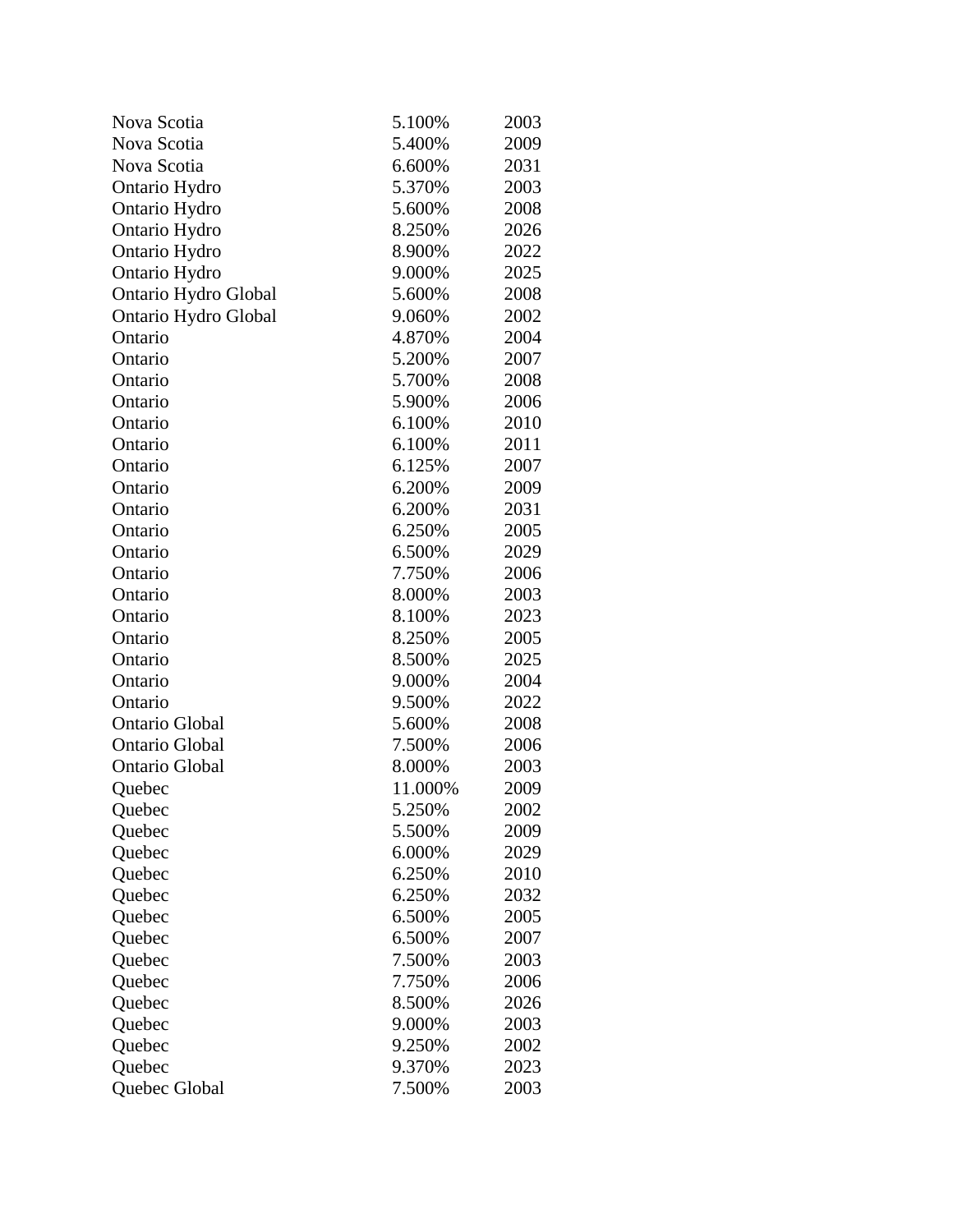| Nova Scotia           | 5.100%  | 2003 |
|-----------------------|---------|------|
| Nova Scotia           | 5.400%  | 2009 |
| Nova Scotia           | 6.600%  | 2031 |
| Ontario Hydro         | 5.370%  | 2003 |
| Ontario Hydro         | 5.600%  | 2008 |
| Ontario Hydro         | 8.250%  | 2026 |
| Ontario Hydro         | 8.900%  | 2022 |
| Ontario Hydro         | 9.000%  | 2025 |
| Ontario Hydro Global  | 5.600%  | 2008 |
| Ontario Hydro Global  | 9.060%  | 2002 |
| Ontario               | 4.870%  | 2004 |
| Ontario               | 5.200%  | 2007 |
| Ontario               | 5.700%  | 2008 |
| Ontario               | 5.900%  | 2006 |
| Ontario               | 6.100%  | 2010 |
| Ontario               | 6.100%  | 2011 |
| Ontario               | 6.125%  | 2007 |
| Ontario               | 6.200%  | 2009 |
| Ontario               | 6.200%  | 2031 |
| Ontario               | 6.250%  | 2005 |
| Ontario               | 6.500%  | 2029 |
| Ontario               | 7.750%  | 2006 |
| Ontario               | 8.000%  | 2003 |
| Ontario               | 8.100%  | 2023 |
| Ontario               | 8.250%  | 2005 |
| Ontario               | 8.500%  | 2025 |
| Ontario               | 9.000%  | 2004 |
| Ontario               | 9.500%  | 2022 |
| <b>Ontario Global</b> | 5.600%  | 2008 |
| Ontario Global        | 7.500%  | 2006 |
| <b>Ontario Global</b> | 8.000%  | 2003 |
| Quebec                | 11.000% | 2009 |
| Quebec                | 5.250%  | 2002 |
| Quebec                | 5.500%  | 2009 |
| Quebec                | 6.000%  | 2029 |
| Quebec                | 6.250%  | 2010 |
| Quebec                | 6.250%  | 2032 |
| Quebec                | 6.500%  | 2005 |
| Quebec                | 6.500%  | 2007 |
| Quebec                | 7.500%  | 2003 |
| Quebec                | 7.750%  | 2006 |
| Quebec                | 8.500%  | 2026 |
| Quebec                | 9.000%  | 2003 |
| Quebec                | 9.250%  | 2002 |
| Quebec                | 9.370%  | 2023 |
| Quebec Global         | 7.500%  | 2003 |
|                       |         |      |